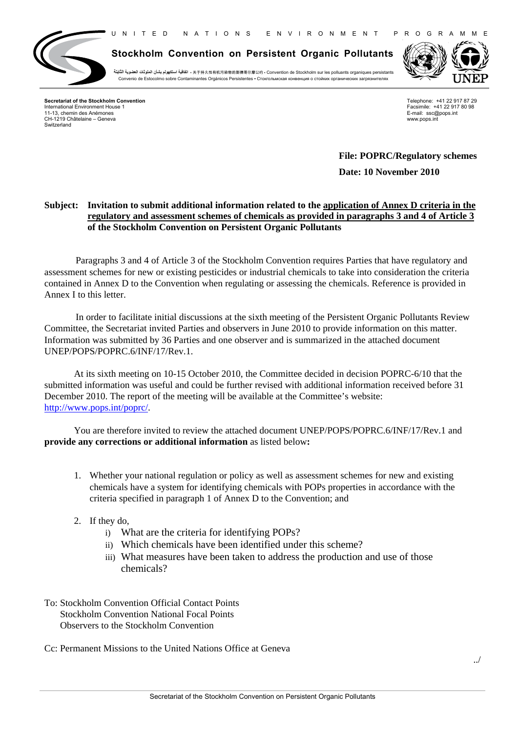

**Stockholm Convention on Persistent Organic Pollutants**

خبر الشاقية - 关于持久性有机污染物的斯德哥尔摩公约 - Convention de Stockholm sur les polluants organiques persistants - القاقية استكهولم بشأن الملوثات العضوية الثانية<br>Convenio de Estocolmo sobre Contaminantes Orgánicos Persistentes - Сто



**Secretariat of the Stockholm Convention** International Environment House 1 11-13, chemin des Anémones CH-1219 Châtelaine – Geneva Switzerland

Telephone: +41 22 917 87 29 Facsimile: +41 22 917 80 98 E-mail: ssc@pops.int www.pops.int

**File: POPRC/Regulatory schemes**

**Date: 10 November 2010**

## **Subject: Invitation to submit additional information related to the application of Annex D criteria in the regulatory and assessment schemes of chemicals as provided in paragraphs 3 and 4 of Article 3 of the Stockholm Convention on Persistent Organic Pollutants**

Paragraphs 3 and 4 of Article 3 of the Stockholm Convention requires Parties that have regulatory and assessment schemes for new or existing pesticides or industrial chemicals to take into consideration the criteria contained in Annex D to the Convention when regulating or assessing the chemicals. Reference is provided in Annex I to this letter.

In order to facilitate initial discussions at the sixth meeting of the Persistent Organic Pollutants Review Committee, the Secretariat invited Parties and observers in June 2010 to provide information on this matter. Information was submitted by 36 Parties and one observer and is summarized in the attached document UNEP/POPS/POPRC.6/INF/17/Rev.1.

At its sixth meeting on 10-15 October 2010, the Committee decided in decision POPRC-6/10 that the submitted information was useful and could be further revised with additional information received before 31 December 2010. The report of the meeting will be available at the Committee's website: http://www.pops.int/poprc/.

You are therefore invited to review the attached document UNEP/POPS/POPRC.6/INF/17/Rev.1 and **provide any corrections or additional information** as listed below**:** 

- 1. Whether your national regulation or policy as well as assessment schemes for new and existing chemicals have a system for identifying chemicals with POPs properties in accordance with the criteria specified in paragraph 1 of Annex D to the Convention; and
- 2. If they do,
	- i) What are the criteria for identifying POPs?
	- ii) Which chemicals have been identified under this scheme?
	- iii) What measures have been taken to address the production and use of those chemicals?
- To: Stockholm Convention Official Contact Points Stockholm Convention National Focal Points Observers to the Stockholm Convention

Cc: Permanent Missions to the United Nations Office at Geneva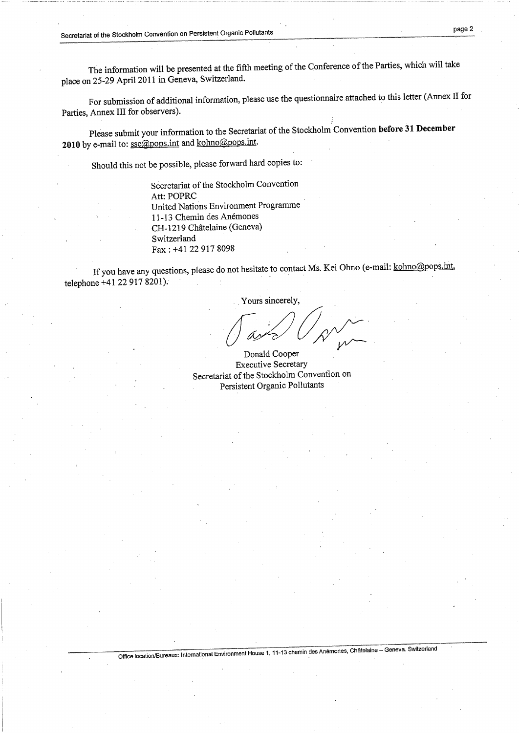The information will be presented at the fifth meeting of the Conference of the Parties, which will take place on 25-29 April 2011 in Geneva, Switzerland.

For submission of additional information, please use the questionnaire attached to this letter (Annex II for Parties, Annex III for observers).

Please submit your information to the Secretariat of the Stockholm Convention before 31 December 2010 by e-mail to: ssc@pops.int and kohno@pops.int.

Should this not be possible, please forward hard copies to:

Secretariat of the Stockholm Convention Att: POPRC United Nations Environment Programme 11-13 Chemin des Anémones CH-1219 Châtelaine (Geneva) Switzerland Fax: +41 22 917 8098

If you have any questions, please do not hesitate to contact Ms. Kei Ohno (e-mail: kohno@pops.int, telephone +41 22 917 8201).

Yours sincerely,

Donald Cooper **Executive Secretary** Secretariat of the Stockholm Convention on Persistent Organic Pollutants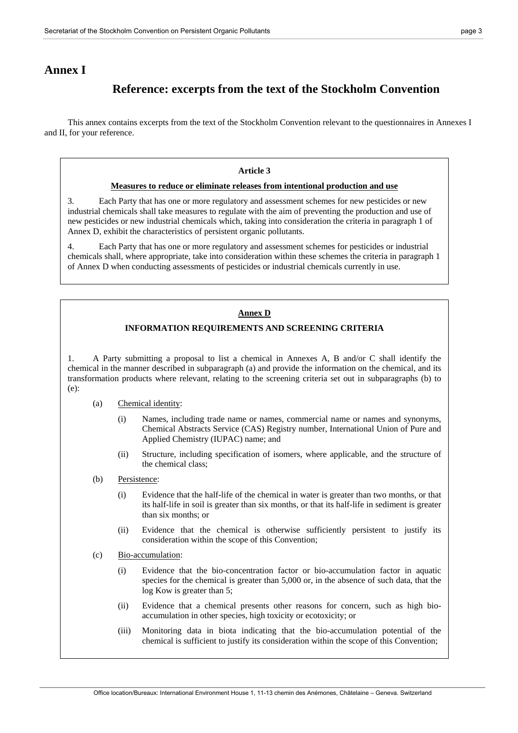## **Annex I**

# **Reference: excerpts from the text of the Stockholm Convention**

This annex contains excerpts from the text of the Stockholm Convention relevant to the questionnaires in Annexes I and II, for your reference.

#### **Article 3**

#### **Measures to reduce or eliminate releases from intentional production and use**

3. Each Party that has one or more regulatory and assessment schemes for new pesticides or new industrial chemicals shall take measures to regulate with the aim of preventing the production and use of new pesticides or new industrial chemicals which, taking into consideration the criteria in paragraph 1 of Annex D, exhibit the characteristics of persistent organic pollutants.

4. Each Party that has one or more regulatory and assessment schemes for pesticides or industrial chemicals shall, where appropriate, take into consideration within these schemes the criteria in paragraph 1 of Annex D when conducting assessments of pesticides or industrial chemicals currently in use.

## **Annex D**

### **INFORMATION REQUIREMENTS AND SCREENING CRITERIA**

1. A Party submitting a proposal to list a chemical in Annexes A, B and/or C shall identify the chemical in the manner described in subparagraph (a) and provide the information on the chemical, and its transformation products where relevant, relating to the screening criteria set out in subparagraphs (b) to (e):

- (a) Chemical identity:
	- (i) Names, including trade name or names, commercial name or names and synonyms, Chemical Abstracts Service (CAS) Registry number, International Union of Pure and Applied Chemistry (IUPAC) name; and
	- (ii) Structure, including specification of isomers, where applicable, and the structure of the chemical class;
- (b) Persistence:
	- (i) Evidence that the half-life of the chemical in water is greater than two months, or that its half-life in soil is greater than six months, or that its half-life in sediment is greater than six months; or
	- (ii) Evidence that the chemical is otherwise sufficiently persistent to justify its consideration within the scope of this Convention;
- (c) Bio-accumulation:
	- (i) Evidence that the bio-concentration factor or bio-accumulation factor in aquatic species for the chemical is greater than 5,000 or, in the absence of such data, that the log Kow is greater than 5;
	- (ii) Evidence that a chemical presents other reasons for concern, such as high bioaccumulation in other species, high toxicity or ecotoxicity; or
	- (iii) Monitoring data in biota indicating that the bio-accumulation potential of the chemical is sufficient to justify its consideration within the scope of this Convention;